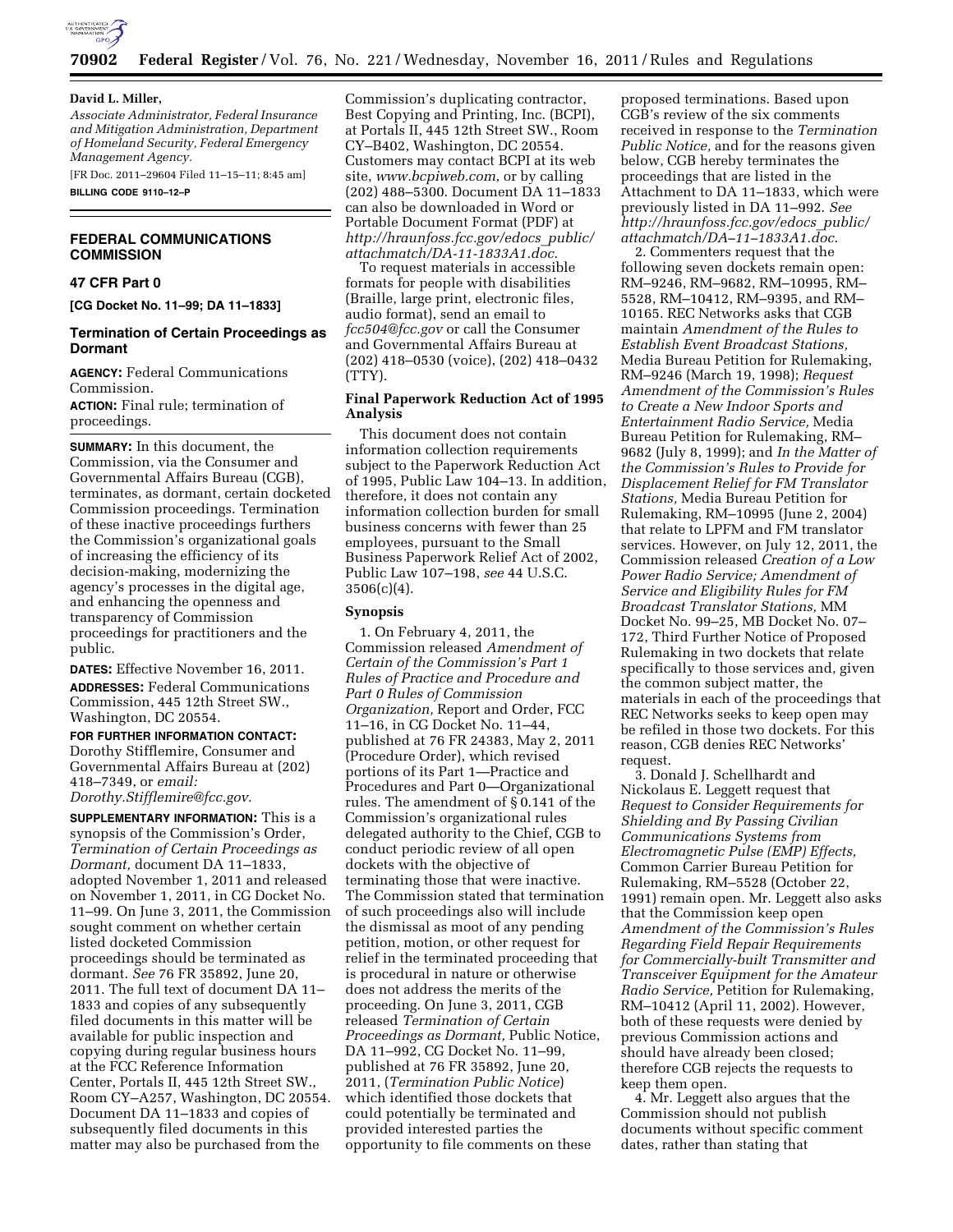

#### **David L. Miller,**

*Associate Administrator, Federal Insurance and Mitigation Administration, Department of Homeland Security, Federal Emergency Management Agency.* 

[FR Doc. 2011–29604 Filed 11–15–11; 8:45 am] **BILLING CODE 9110–12–P** 

# **FEDERAL COMMUNICATIONS COMMISSION**

# **47 CFR Part 0**

**[CG Docket No. 11–99; DA 11–1833]** 

# **Termination of Certain Proceedings as Dormant**

**AGENCY:** Federal Communications Commission.

**ACTION:** Final rule; termination of proceedings.

**SUMMARY:** In this document, the Commission, via the Consumer and Governmental Affairs Bureau (CGB), terminates, as dormant, certain docketed Commission proceedings. Termination of these inactive proceedings furthers the Commission's organizational goals of increasing the efficiency of its decision-making, modernizing the agency's processes in the digital age, and enhancing the openness and transparency of Commission proceedings for practitioners and the public.

**DATES:** Effective November 16, 2011. **ADDRESSES:** Federal Communications Commission, 445 12th Street SW., Washington, DC 20554.

**FOR FURTHER INFORMATION CONTACT:**  Dorothy Stifflemire, Consumer and Governmental Affairs Bureau at (202) 418–7349, or *email: [Dorothy.Stifflemire@fcc.gov](mailto:Dorothy.Stifflemire@fcc.gov)*.

**SUPPLEMENTARY INFORMATION:** This is a synopsis of the Commission's Order, *Termination of Certain Proceedings as Dormant,* document DA 11–1833, adopted November 1, 2011 and released on November 1, 2011, in CG Docket No. 11–99. On June 3, 2011, the Commission sought comment on whether certain listed docketed Commission proceedings should be terminated as dormant. *See* 76 FR 35892, June 20, 2011. The full text of document DA 11– 1833 and copies of any subsequently filed documents in this matter will be available for public inspection and copying during regular business hours at the FCC Reference Information Center, Portals II, 445 12th Street SW., Room CY–A257, Washington, DC 20554. Document DA 11–1833 and copies of subsequently filed documents in this matter may also be purchased from the

Commission's duplicating contractor, Best Copying and Printing, Inc. (BCPI), at Portals II, 445 12th Street SW., Room CY–B402, Washington, DC 20554. Customers may contact BCPI at its web site, *[www.bcpiweb.com](http://www.bcpiweb.com)*, or by calling (202) 488–5300. Document DA 11–1833 can also be downloaded in Word or Portable Document Format (PDF) at *[http://hraunfoss.fcc.gov/edocs](http://hraunfoss.fcc.gov/edocs_public/attachmatch/DA-11-1833A1.doc)*\_*public/ [attachmatch/DA-11-1833A1.doc](http://hraunfoss.fcc.gov/edocs_public/attachmatch/DA-11-1833A1.doc)*.

To request materials in accessible formats for people with disabilities (Braille, large print, electronic files, audio format), send an email to *[fcc504@fcc.gov](mailto:fcc504@fcc.gov)* or call the Consumer and Governmental Affairs Bureau at (202) 418–0530 (voice), (202) 418–0432 (TTY).

# **Final Paperwork Reduction Act of 1995 Analysis**

This document does not contain information collection requirements subject to the Paperwork Reduction Act of 1995, Public Law 104–13. In addition, therefore, it does not contain any information collection burden for small business concerns with fewer than 25 employees, pursuant to the Small Business Paperwork Relief Act of 2002, Public Law 107–198, *see* 44 U.S.C.  $3506(c)(4)$ .

# **Synopsis**

1. On February 4, 2011, the Commission released *Amendment of Certain of the Commission's Part 1 Rules of Practice and Procedure and Part 0 Rules of Commission Organization,* Report and Order, FCC 11–16, in CG Docket No. 11–44, published at 76 FR 24383, May 2, 2011 (Procedure Order), which revised portions of its Part 1—Practice and Procedures and Part 0—Organizational rules. The amendment of § 0.141 of the Commission's organizational rules delegated authority to the Chief, CGB to conduct periodic review of all open dockets with the objective of terminating those that were inactive. The Commission stated that termination of such proceedings also will include the dismissal as moot of any pending petition, motion, or other request for relief in the terminated proceeding that is procedural in nature or otherwise does not address the merits of the proceeding. On June 3, 2011, CGB released *Termination of Certain Proceedings as Dormant,* Public Notice, DA 11–992, CG Docket No. 11–99, published at 76 FR 35892, June 20, 2011, (*Termination Public Notice*) which identified those dockets that could potentially be terminated and provided interested parties the opportunity to file comments on these

proposed terminations. Based upon CGB's review of the six comments received in response to the *Termination Public Notice,* and for the reasons given below, CGB hereby terminates the proceedings that are listed in the Attachment to DA 11–1833, which were previously listed in DA 11–992. *See [http://hraunfoss.fcc.gov/edocs](http://hraunfoss.fcc.gov/edocs_public/attachmatch/DA-11-1833A1.doc)*\_*public/ [attachmatch/DA–11–1833A1.doc](http://hraunfoss.fcc.gov/edocs_public/attachmatch/DA-11-1833A1.doc)*.

2. Commenters request that the following seven dockets remain open: RM–9246, RM–9682, RM–10995, RM– 5528, RM–10412, RM–9395, and RM– 10165. REC Networks asks that CGB maintain *Amendment of the Rules to Establish Event Broadcast Stations,*  Media Bureau Petition for Rulemaking, RM–9246 (March 19, 1998); *Request Amendment of the Commission's Rules to Create a New Indoor Sports and Entertainment Radio Service,* Media Bureau Petition for Rulemaking, RM– 9682 (July 8, 1999); and *In the Matter of the Commission's Rules to Provide for Displacement Relief for FM Translator Stations,* Media Bureau Petition for Rulemaking, RM–10995 (June 2, 2004) that relate to LPFM and FM translator services. However, on July 12, 2011, the Commission released *Creation of a Low Power Radio Service; Amendment of Service and Eligibility Rules for FM Broadcast Translator Stations,* MM Docket No. 99–25, MB Docket No. 07– 172, Third Further Notice of Proposed Rulemaking in two dockets that relate specifically to those services and, given the common subject matter, the materials in each of the proceedings that REC Networks seeks to keep open may be refiled in those two dockets. For this reason, CGB denies REC Networks' request.

3. Donald J. Schellhardt and Nickolaus E. Leggett request that *Request to Consider Requirements for Shielding and By Passing Civilian Communications Systems from Electromagnetic Pulse (EMP) Effects,*  Common Carrier Bureau Petition for Rulemaking, RM–5528 (October 22, 1991) remain open. Mr. Leggett also asks that the Commission keep open *Amendment of the Commission's Rules Regarding Field Repair Requirements for Commercially-built Transmitter and Transceiver Equipment for the Amateur Radio Service,* Petition for Rulemaking, RM–10412 (April 11, 2002). However, both of these requests were denied by previous Commission actions and should have already been closed; therefore CGB rejects the requests to keep them open.

4. Mr. Leggett also argues that the Commission should not publish documents without specific comment dates, rather than stating that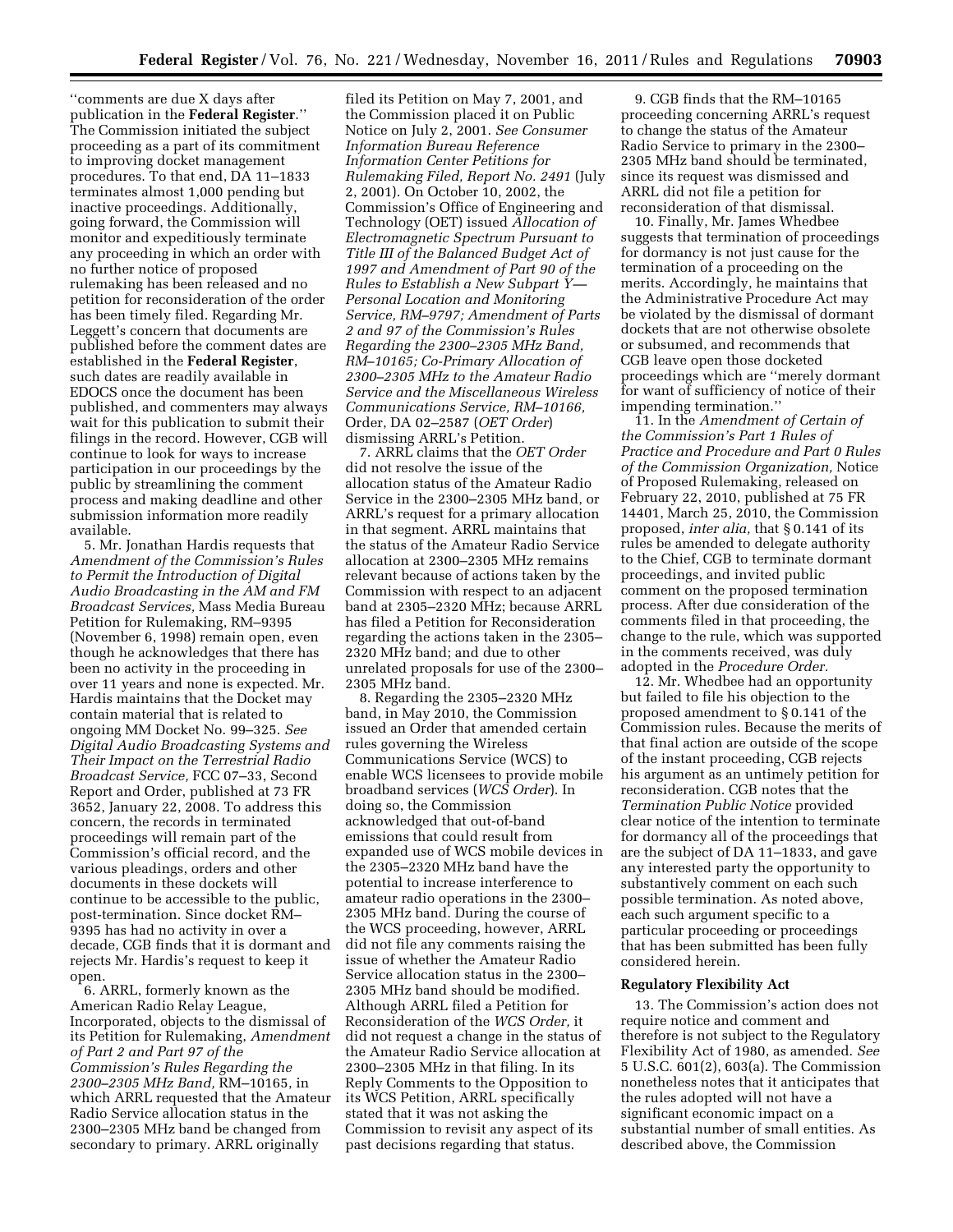''comments are due X days after publication in the **Federal Register**.'' The Commission initiated the subject proceeding as a part of its commitment to improving docket management procedures. To that end, DA 11–1833 terminates almost 1,000 pending but inactive proceedings. Additionally, going forward, the Commission will monitor and expeditiously terminate any proceeding in which an order with no further notice of proposed rulemaking has been released and no petition for reconsideration of the order has been timely filed. Regarding Mr. Leggett's concern that documents are published before the comment dates are established in the **Federal Register**, such dates are readily available in EDOCS once the document has been published, and commenters may always wait for this publication to submit their filings in the record. However, CGB will continue to look for ways to increase participation in our proceedings by the public by streamlining the comment process and making deadline and other submission information more readily available.

5. Mr. Jonathan Hardis requests that *Amendment of the Commission's Rules to Permit the Introduction of Digital Audio Broadcasting in the AM and FM Broadcast Services,* Mass Media Bureau Petition for Rulemaking, RM–9395 (November 6, 1998) remain open, even though he acknowledges that there has been no activity in the proceeding in over 11 years and none is expected. Mr. Hardis maintains that the Docket may contain material that is related to ongoing MM Docket No. 99–325. *See Digital Audio Broadcasting Systems and Their Impact on the Terrestrial Radio Broadcast Service,* FCC 07–33, Second Report and Order, published at 73 FR 3652, January 22, 2008. To address this concern, the records in terminated proceedings will remain part of the Commission's official record, and the various pleadings, orders and other documents in these dockets will continue to be accessible to the public, post-termination. Since docket RM– 9395 has had no activity in over a decade, CGB finds that it is dormant and rejects Mr. Hardis's request to keep it open.

6. ARRL, formerly known as the American Radio Relay League, Incorporated, objects to the dismissal of its Petition for Rulemaking, *Amendment of Part 2 and Part 97 of the Commission's Rules Regarding the 2300–2305 MHz Band,* RM–10165, in which ARRL requested that the Amateur Radio Service allocation status in the 2300–2305 MHz band be changed from secondary to primary. ARRL originally

filed its Petition on May 7, 2001, and the Commission placed it on Public Notice on July 2, 2001. *See Consumer Information Bureau Reference Information Center Petitions for Rulemaking Filed, Report No. 2491* (July 2, 2001). On October 10, 2002, the Commission's Office of Engineering and Technology (OET) issued *Allocation of Electromagnetic Spectrum Pursuant to Title III of the Balanced Budget Act of 1997 and Amendment of Part 90 of the Rules to Establish a New Subpart Y— Personal Location and Monitoring Service, RM–9797; Amendment of Parts 2 and 97 of the Commission's Rules Regarding the 2300–2305 MHz Band, RM–10165; Co-Primary Allocation of 2300–2305 MHz to the Amateur Radio Service and the Miscellaneous Wireless Communications Service, RM–10166,*  Order, DA 02–2587 (*OET Order*) dismissing ARRL's Petition.

7. ARRL claims that the *OET Order*  did not resolve the issue of the allocation status of the Amateur Radio Service in the 2300–2305 MHz band, or ARRL's request for a primary allocation in that segment. ARRL maintains that the status of the Amateur Radio Service allocation at 2300–2305 MHz remains relevant because of actions taken by the Commission with respect to an adjacent band at 2305–2320 MHz; because ARRL has filed a Petition for Reconsideration regarding the actions taken in the 2305– 2320 MHz band; and due to other unrelated proposals for use of the 2300– 2305 MHz band.

8. Regarding the 2305–2320 MHz band, in May 2010, the Commission issued an Order that amended certain rules governing the Wireless Communications Service (WCS) to enable WCS licensees to provide mobile broadband services (*WCS Order*). In doing so, the Commission acknowledged that out-of-band emissions that could result from expanded use of WCS mobile devices in the 2305–2320 MHz band have the potential to increase interference to amateur radio operations in the 2300– 2305 MHz band. During the course of the WCS proceeding, however, ARRL did not file any comments raising the issue of whether the Amateur Radio Service allocation status in the 2300– 2305 MHz band should be modified. Although ARRL filed a Petition for Reconsideration of the *WCS Order,* it did not request a change in the status of the Amateur Radio Service allocation at 2300–2305 MHz in that filing. In its Reply Comments to the Opposition to its WCS Petition, ARRL specifically stated that it was not asking the Commission to revisit any aspect of its past decisions regarding that status.

9. CGB finds that the RM–10165 proceeding concerning ARRL's request to change the status of the Amateur Radio Service to primary in the 2300– 2305 MHz band should be terminated, since its request was dismissed and ARRL did not file a petition for reconsideration of that dismissal.

10. Finally, Mr. James Whedbee suggests that termination of proceedings for dormancy is not just cause for the termination of a proceeding on the merits. Accordingly, he maintains that the Administrative Procedure Act may be violated by the dismissal of dormant dockets that are not otherwise obsolete or subsumed, and recommends that CGB leave open those docketed proceedings which are ''merely dormant for want of sufficiency of notice of their impending termination.''

11. In the *Amendment of Certain of the Commission's Part 1 Rules of Practice and Procedure and Part 0 Rules of the Commission Organization,* Notice of Proposed Rulemaking, released on February 22, 2010, published at 75 FR 14401, March 25, 2010, the Commission proposed, *inter alia,* that § 0.141 of its rules be amended to delegate authority to the Chief, CGB to terminate dormant proceedings, and invited public comment on the proposed termination process. After due consideration of the comments filed in that proceeding, the change to the rule, which was supported in the comments received, was duly adopted in the *Procedure Order.* 

12. Mr. Whedbee had an opportunity but failed to file his objection to the proposed amendment to § 0.141 of the Commission rules. Because the merits of that final action are outside of the scope of the instant proceeding, CGB rejects his argument as an untimely petition for reconsideration. CGB notes that the *Termination Public Notice* provided clear notice of the intention to terminate for dormancy all of the proceedings that are the subject of DA 11–1833, and gave any interested party the opportunity to substantively comment on each such possible termination. As noted above, each such argument specific to a particular proceeding or proceedings that has been submitted has been fully considered herein.

### **Regulatory Flexibility Act**

13. The Commission's action does not require notice and comment and therefore is not subject to the Regulatory Flexibility Act of 1980, as amended. *See*  5 U.S.C. 601(2), 603(a). The Commission nonetheless notes that it anticipates that the rules adopted will not have a significant economic impact on a substantial number of small entities. As described above, the Commission